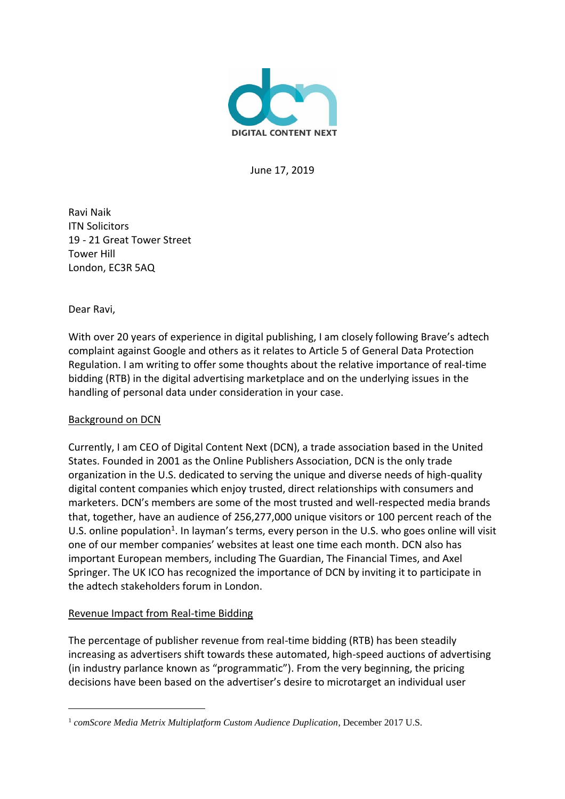

June 17, 2019

Ravi Naik ITN Solicitors 19 - 21 Great Tower Street Tower Hill London, EC3R 5AQ

Dear Ravi,

l

With over 20 years of experience in digital publishing, I am closely following Brave's adtech complaint against Google and others as it relates to Article 5 of General Data Protection Regulation. I am writing to offer some thoughts about the relative importance of real-time bidding (RTB) in the digital advertising marketplace and on the underlying issues in the handling of personal data under consideration in your case.

# Background on DCN

Currently, I am CEO of Digital Content Next (DCN), a trade association based in the United States. Founded in 2001 as the Online Publishers Association, DCN is the only trade organization in the U.S. dedicated to serving the unique and diverse needs of high-quality digital content companies which enjoy trusted, direct relationships with consumers and marketers. DCN's members are some of the most trusted and well-respected media brands that, together, have an audience of 256,277,000 unique visitors or 100 percent reach of the U.S. online population<sup>1</sup>. In layman's terms, every person in the U.S. who goes online will visit one of our member companies' websites at least one time each month. DCN also has important European members, including The Guardian, The Financial Times, and Axel Springer. The UK ICO has recognized the importance of DCN by inviting it to participate in the adtech stakeholders forum in London.

# Revenue Impact from Real-time Bidding

The percentage of publisher revenue from real-time bidding (RTB) has been steadily increasing as advertisers shift towards these automated, high-speed auctions of advertising (in industry parlance known as "programmatic"). From the very beginning, the pricing decisions have been based on the advertiser's desire to microtarget an individual user

<sup>1</sup> *comScore Media Metrix Multiplatform Custom Audience Duplication*, December 2017 U.S.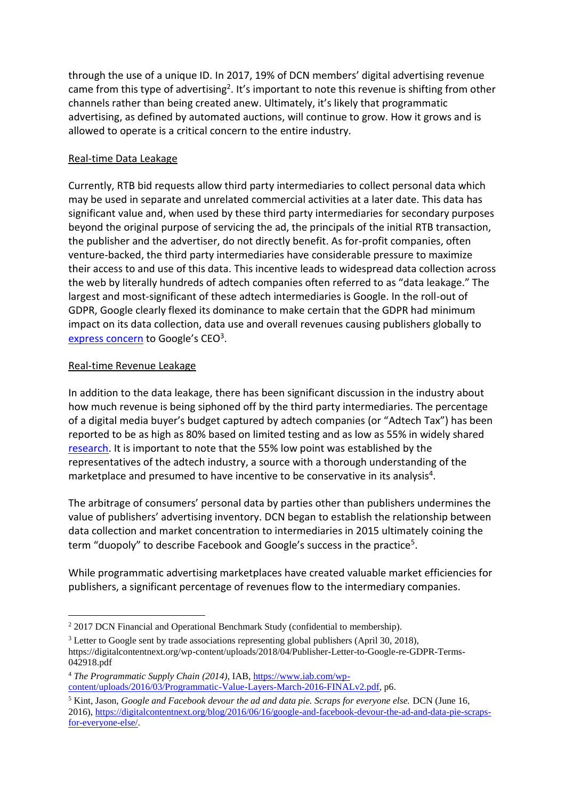through the use of a unique ID. In 2017, 19% of DCN members' digital advertising revenue came from this type of advertising<sup>2</sup>. It's important to note this revenue is shifting from other channels rather than being created anew. Ultimately, it's likely that programmatic advertising, as defined by automated auctions, will continue to grow. How it grows and is allowed to operate is a critical concern to the entire industry.

# Real-time Data Leakage

Currently, RTB bid requests allow third party intermediaries to collect personal data which may be used in separate and unrelated commercial activities at a later date. This data has significant value and, when used by these third party intermediaries for secondary purposes beyond the original purpose of servicing the ad, the principals of the initial RTB transaction, the publisher and the advertiser, do not directly benefit. As for-profit companies, often venture-backed, the third party intermediaries have considerable pressure to maximize their access to and use of this data. This incentive leads to widespread data collection across the web by literally hundreds of adtech companies often referred to as "data leakage." The largest and most-significant of these adtech intermediaries is Google. In the roll-out of GDPR, Google clearly flexed its dominance to make certain that the GDPR had minimum impact on its data collection, data use and overall revenues causing publishers globally to <u>[express concern](https://digitalcontentnext.org/wp-content/uploads/2018/04/Publisher-Letter-to-Google-re-GDPR-Terms-042918.pdf)</u> to Google's CEO<sup>3</sup>.

# Real-time Revenue Leakage

In addition to the data leakage, there has been significant discussion in the industry about how much revenue is being siphoned off by the third party intermediaries. The percentage of a digital media buyer's budget captured by adtech companies (or "Adtech Tax") has been reported to be as high as 80% based on limited testing and as low as 55% in widely shared [research.](https://www.emarketer.com/content/why-tech-firms-obtain-most-of-the-money-in-programmatic-purchases) It is important to note that the 55% low point was established by the representatives of the adtech industry, a source with a thorough understanding of the marketplace and presumed to have incentive to be conservative in its analysis<sup>4</sup>.

The arbitrage of consumers' personal data by parties other than publishers undermines the value of publishers' advertising inventory. DCN began to establish the relationship between data collection and market concentration to intermediaries in 2015 ultimately coining the term "duopoly" to describe Facebook and Google's success in the practice<sup>5</sup>.

While programmatic advertising marketplaces have created valuable market efficiencies for publishers, a significant percentage of revenues flow to the intermediary companies.

 $\overline{a}$ <sup>2</sup> 2017 DCN Financial and Operational Benchmark Study (confidential to membership).

<sup>&</sup>lt;sup>3</sup> Letter to Google sent by trade associations representing global publishers (April 30, 2018), https://digitalcontentnext.org/wp-content/uploads/2018/04/Publisher-Letter-to-Google-re-GDPR-Terms-042918.pdf

<sup>4</sup> *The Programmatic Supply Chain (2014)*, IAB[, https://www.iab.com/wp](https://www.iab.com/wp-content/uploads/2016/03/Programmatic-Value-Layers-March-2016-FINALv2.pdf)[content/uploads/2016/03/Programmatic-Value-Layers-March-2016-FINALv2.pdf,](https://www.iab.com/wp-content/uploads/2016/03/Programmatic-Value-Layers-March-2016-FINALv2.pdf) p6.

<sup>5</sup> Kint, Jason, *Google and Facebook devour the ad and data pie. Scraps for everyone else.* DCN (June 16, 2016), [https://digitalcontentnext.org/blog/2016/06/16/google-and-facebook-devour-the-ad-and-data-pie-scraps](https://digitalcontentnext.org/blog/2016/06/16/google-and-facebook-devour-the-ad-and-data-pie-scraps-for-everyone-else/)[for-everyone-else/.](https://digitalcontentnext.org/blog/2016/06/16/google-and-facebook-devour-the-ad-and-data-pie-scraps-for-everyone-else/)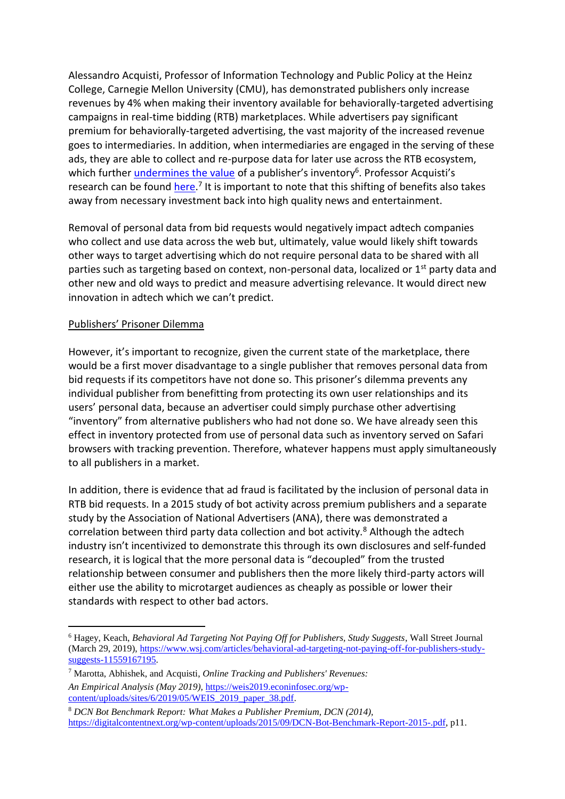Alessandro Acquisti, Professor of Information Technology and Public Policy at the Heinz College, Carnegie Mellon University (CMU), has demonstrated publishers only increase revenues by 4% when making their inventory available for behaviorally-targeted advertising campaigns in real-time bidding (RTB) marketplaces. While advertisers pay significant premium for behaviorally-targeted advertising, the vast majority of the increased revenue goes to intermediaries. In addition, when intermediaries are engaged in the serving of these ads, they are able to collect and re-purpose data for later use across the RTB ecosystem, which further <u>undermines the value</u> of a publisher's inventory<sup>6</sup>. Professor Acquisti's research can be found <u>here</u>.<sup>7</sup> It is important to note that this shifting of benefits also takes away from necessary investment back into high quality news and entertainment.

Removal of personal data from bid requests would negatively impact adtech companies who collect and use data across the web but, ultimately, value would likely shift towards other ways to target advertising which do not require personal data to be shared with all parties such as targeting based on context, non-personal data, localized or 1<sup>st</sup> party data and other new and old ways to predict and measure advertising relevance. It would direct new innovation in adtech which we can't predict.

## Publishers' Prisoner Dilemma

 $\overline{a}$ 

However, it's important to recognize, given the current state of the marketplace, there would be a first mover disadvantage to a single publisher that removes personal data from bid requests if its competitors have not done so. This prisoner's dilemma prevents any individual publisher from benefitting from protecting its own user relationships and its users' personal data, because an advertiser could simply purchase other advertising "inventory" from alternative publishers who had not done so. We have already seen this effect in inventory protected from use of personal data such as inventory served on Safari browsers with tracking prevention. Therefore, whatever happens must apply simultaneously to all publishers in a market.

In addition, there is evidence that ad fraud is facilitated by the inclusion of personal data in RTB bid requests. In a 2015 study of bot activity across premium publishers and a separate study by the Association of National Advertisers (ANA), there was demonstrated a correlation between third party data collection and bot activity.<sup>8</sup> Although the adtech industry isn't incentivized to demonstrate this through its own disclosures and self-funded research, it is logical that the more personal data is "decoupled" from the trusted relationship between consumer and publishers then the more likely third-party actors will either use the ability to microtarget audiences as cheaply as possible or lower their standards with respect to other bad actors.

<sup>6</sup> Hagey, Keach, *Behavioral Ad Targeting Not Paying Off for Publishers, Study Suggests*, Wall Street Journal (March 29, 2019), [https://www.wsj.com/articles/behavioral-ad-targeting-not-paying-off-for-publishers-study](https://www.wsj.com/articles/behavioral-ad-targeting-not-paying-off-for-publishers-study-suggests-11559167195)[suggests-11559167195.](https://www.wsj.com/articles/behavioral-ad-targeting-not-paying-off-for-publishers-study-suggests-11559167195)

<sup>7</sup> Marotta, Abhishek, and Acquisti, *Online Tracking and Publishers' Revenues: An Empirical Analysis (May 2019),* [https://weis2019.econinfosec.org/wp](https://weis2019.econinfosec.org/wp-content/uploads/sites/6/2019/05/WEIS_2019_paper_38.pdf)[content/uploads/sites/6/2019/05/WEIS\\_2019\\_paper\\_38.pdf.](https://weis2019.econinfosec.org/wp-content/uploads/sites/6/2019/05/WEIS_2019_paper_38.pdf)

<sup>8</sup> *DCN Bot Benchmark Report: What Makes a Publisher Premium, DCN (2014),* [https://digitalcontentnext.org/wp-content/uploads/2015/09/DCN-Bot-Benchmark-Report-2015-.pdf,](https://digitalcontentnext.org/wp-content/uploads/2015/09/DCN-Bot-Benchmark-Report-2015-.pdf) p11.